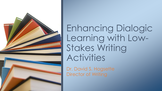

Enhancing Dialogic Learning with Low-Stakes Writing Activities

Dr. David S. Hogsette Director of Writing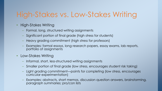# High-Stakes vs. Low-Stakes Writing

- High-Stakes Writing
	- Formal, long, structured writing assignments
	- Significant portion of final grade (high stress for students)
	- Heavy grading commitment (high stress for professors)
	- Examples: formal essays, long research papers, essay exams, lab reports, portfolio of assignments
- Low-Stakes Writing
	- Informal, short, less-structured writing assignments
	- Smaller portion of final grade (low stress, encourages student risk taking)
	- Light grading commitment—points for completing (low stress, encourages curricular experimentation)
	- Examples: abstracts, short memos, discussion question answers, brainstorming, paragraph summaries; pro/con lists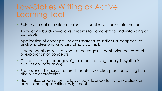## Low-Stakes Writing as Active Learning Tool

- Reinforcement of material—aids in student retention of information
- Knowledge building—allows students to demonstrate understanding of concepts
- Application of concepts—relates material to individual perspectives and/or professional and disciplinary contexts
- Independent active learning—encourages student-oriented research or exploration of concepts
- Critical thinking—engages higher order learning (analysis, synthesis, evaluation, persuasion)
- Professional discourse—offers students low-stakes practice writing for a discipline or profession
- High-stakes preparation—allows students opportunity to practice for exams and longer writing assignments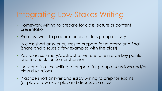# Integrating Low-Stakes Writing

- Homework writing to prepare for class lecture or content presentation
- Pre-class work to prepare for an in-class group activity
- In-class short-answer quizzes to prepare for midterm and final (share and discuss a few examples with the class)
- Post-class summary/abstract of lecture to reinforce key points and to check for comprehension
- Individual in-class writing to prepare for group discussions and/or class discussions
- Practice short answer and essay writing to prep for exams (display a few examples and discuss as a class)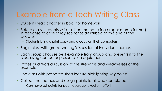# Example from a Tech Writing Class

- Students read chapter in book for homework
- Before class, students write a short memo (using proper memo format) in response to case study scenarios described at the end of the chapter
	- Students bring a print copy and a copy on their computers
- Begin class with group sharing/discussion of individual memos
- Each group chooses best example from group and presents it to the class using computer presentation equipment
- Professor directs discussion of the strengths and weaknesses of the example
- End class with prepared short lecture highlighting key points
- Collect the memos and assign points to all who completed it
	- Can have set points for poor, average, excellent effort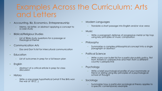#### Examples Across the Curriculum: Arts and Letters

- Accounting, Biz, Economics, Entrepreneurship
	- Memo, biz letter, or abstract applying a concept to a case study
- Biblical/Religious Studies
	- List of Bible study questions for a passage or theological theme
- Communication Arts
	- Dos and Don'ts list for intercultural communication
- Education
	- List of outcomes in prep for a full lesson plan
- English
	- Abstract of a critical article in prep for class discussion
- History
	- Write a one-page hypothetical (what if the Brits won the war of 1812…)
- Modern Languages
	- Translate a short passage into English and/or vice versa
- Music
	- Write a paragraph defense of progressive metal or hip hop using key principles of music composition
- Philosophy
	- Summarize a complex philosophical concept into a single paragraph or abstract
- Political Science
	- Write a pro-con bullet list for a particular public policy, first from America's perspective and then from a different country's perspective
- **Psychology** 
	- Write a brief psychological profile of your roommate or friend or sibling using key principles of a psychological school of thought
- Sociology
	- Summarize how a particular sociological theory applies to a specific contemporary example